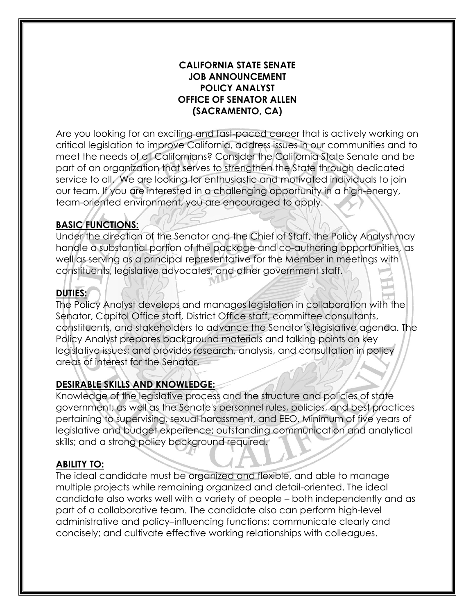### **CALIFORNIA STATE SENATE JOB ANNOUNCEMENT POLICY ANALYST OFFICE OF SENATOR ALLEN (SACRAMENTO, CA)**

Are you looking for an exciting and fast-paced career that is actively working on critical legislation to improve California, address issues in our communities and to meet the needs of all Californians? Consider the California State Senate and be part of an organization that serves to strengthen the State through dedicated service to all. We are looking for enthusiastic and motivated individuals to join our team. If you are interested in a challenging opportunity in a high-energy, team-oriented environment, you are encouraged to apply.

# **BASIC FUNCTIONS:**

Under the direction of the Senator and the Chief of Staff, the Policy Analyst may handle a substantial portion of the package and co-authoring opportunities, as well as serving as a principal representative for the Member in meetings with constituents, legislative advocates, and other government staff.

# **DUTIES:**

The Policy Analyst develops and manages legislation in collaboration with the Senator, Capitol Office staff, District Office staff, committee consultants, constituents, and stakeholders to advance the Senator's legislative agenda. The Policy Analyst prepares background materials and talking points on key legislative issues; and provides research, analysis, and consultation in policy areas of interest for the Senator.

# **DESIRABLE SKILLS AND KNOWLEDGE:**

Knowledge of the legislative process and the structure and policies of state government; as well as the Senate's personnel rules, policies, and best practices pertaining to supervising, sexual harassment, and EEO. Minimum of five years of legislative and budget experience; outstanding communication and analytical skills; and a strong policy background required.

#### **ABILITY TO:**

The ideal candidate must be organized and flexible, and able to manage multiple projects while remaining organized and detail-oriented. The ideal candidate also works well with a variety of people – both independently and as part of a collaborative team. The candidate also can perform high-level administrative and policy–influencing functions; communicate clearly and concisely; and cultivate effective working relationships with colleagues.